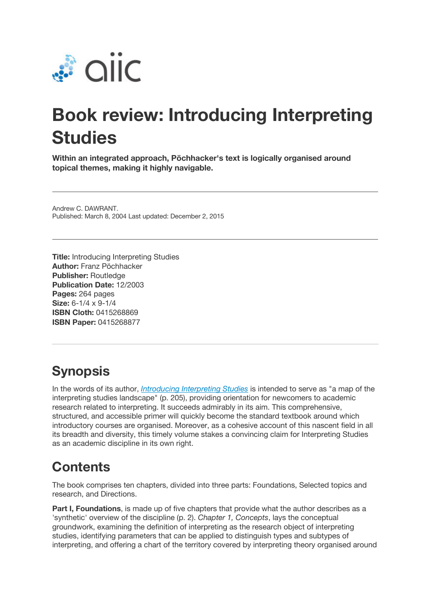

## **Book review: Introducing Interpreting Studies**

**Within an integrated approach, Pöchhacker's text is logically organised around topical themes, making it highly navigable.**

Andrew C. DAWRANT. Published: March 8, 2004 Last updated: December 2, 2015

**Title:** Introducing Interpreting Studies **Author:** Franz Pöchhacker **Publisher:** Routledge **Publication Date:** 12/2003 **Pages:** 264 pages **Size:** 6-1/4 x 9-1/4 **ISBN Cloth:** 0415268869 **ISBN Paper:** 0415268877

## **Synopsis**

In the words of its author, *Introducing Interpreting Studies* is intended to serve as "a map of the interpreting studies landscape" (p. 205), providing orientation for newcomers to academic research related to interpreting. It succeeds admirably in its aim. This comprehensive, structured, and accessible primer will quickly become the standard textbook around which introductory courses are organised. Moreover, as a cohesive account of this nascent field in all its breadth and diversity, this timely volume stakes a convincing claim for Interpreting Studies as an academic discipline in its own right.

## **Contents**

The book comprises ten chapters, divided into three parts: Foundations, Selected topics and research, and Directions.

**Part I, Foundations**, is made up of five chapters that provide what the author describes as a 'synthetic' overview of the discipline (p. 2). *Chapter 1, Concepts*, lays the conceptual groundwork, examining the definition of interpreting as the research object of interpreting studies, identifying parameters that can be applied to distinguish types and subtypes of interpreting, and offering a chart of the territory covered by interpreting theory organised around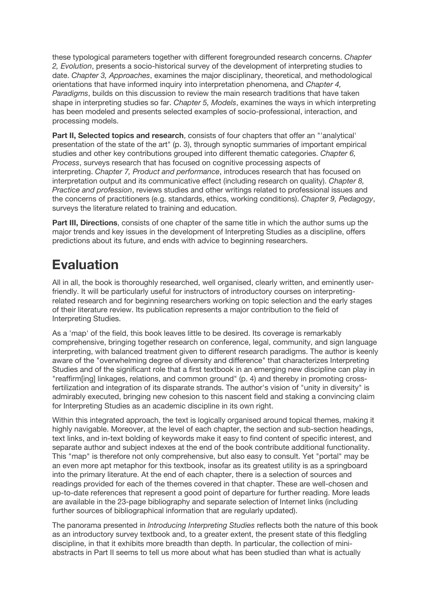these typological parameters together with different foregrounded research concerns. *Chapter 2, Evolution*, presents a socio-historical survey of the development of interpreting studies to date. *Chapter 3, Approaches*, examines the major disciplinary, theoretical, and methodological orientations that have informed inquiry into interpretation phenomena, and *Chapter 4, Paradigms*, builds on this discussion to review the main research traditions that have taken shape in interpreting studies so far. *Chapter 5, Models*, examines the ways in which interpreting has been modeled and presents selected examples of socio-professional, interaction, and processing models.

**Part II, Selected topics and research**, consists of four chapters that offer an "'analytical' presentation of the state of the art" (p. 3), through synoptic summaries of important empirical studies and other key contributions grouped into different thematic categories. *Chapter 6, Process*, surveys research that has focused on cognitive processing aspects of interpreting. *Chapter 7, Product and performance*, introduces research that has focused on interpretation output and its communicative effect (including research on quality). *Chapter 8, Practice and profession*, reviews studies and other writings related to professional issues and the concerns of practitioners (e.g. standards, ethics, working conditions). *Chapter 9, Pedagogy*, surveys the literature related to training and education.

**Part III, Directions**, consists of one chapter of the same title in which the author sums up the major trends and key issues in the development of Interpreting Studies as a discipline, offers predictions about its future, and ends with advice to beginning researchers.

## **Evaluation**

All in all, the book is thoroughly researched, well organised, clearly written, and eminently userfriendly. It will be particularly useful for instructors of introductory courses on interpretingrelated research and for beginning researchers working on topic selection and the early stages of their literature review. Its publication represents a major contribution to the field of Interpreting Studies.

As a 'map' of the field, this book leaves little to be desired. Its coverage is remarkably comprehensive, bringing together research on conference, legal, community, and sign language interpreting, with balanced treatment given to different research paradigms. The author is keenly aware of the "overwhelming degree of diversity and difference" that characterizes Interpreting Studies and of the significant role that a first textbook in an emerging new discipline can play in "reaffirm[ing] linkages, relations, and common ground" (p. 4) and thereby in promoting crossfertilization and integration of its disparate strands. The author's vision of "unity in diversity" is admirably executed, bringing new cohesion to this nascent field and staking a convincing claim for Interpreting Studies as an academic discipline in its own right.

Within this integrated approach, the text is logically organised around topical themes, making it highly navigable. Moreover, at the level of each chapter, the section and sub-section headings, text links, and in-text bolding of keywords make it easy to find content of specific interest, and separate author and subject indexes at the end of the book contribute additional functionality. This "map" is therefore not only comprehensive, but also easy to consult. Yet "portal" may be an even more apt metaphor for this textbook, insofar as its greatest utility is as a springboard into the primary literature. At the end of each chapter, there is a selection of sources and readings provided for each of the themes covered in that chapter. These are well-chosen and up-to-date references that represent a good point of departure for further reading. More leads are available in the 23-page bibliography and separate selection of Internet links (including further sources of bibliographical information that are regularly updated).

The panorama presented in *Introducing Interpreting Studies* reflects both the nature of this book as an introductory survey textbook and, to a greater extent, the present state of this fledgling discipline, in that it exhibits more breadth than depth. In particular, the collection of miniabstracts in Part II seems to tell us more about what has been studied than what is actually